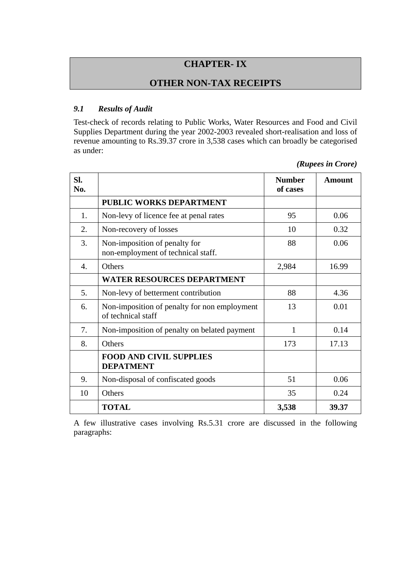# **CHAPTER- IX**

## **OTHER NON-TAX RECEIPTS**

#### *9.1 Results of Audit*

Test-check of records relating to Public Works, Water Resources and Food and Civil Supplies Department during the year 2002-2003 revealed short-realisation and loss of revenue amounting to Rs.39.37 crore in 3,538 cases which can broadly be categorised as under:

*(Rupees in Crore)* 

| SI.<br>No.       |                                                                     | <b>Number</b><br>of cases | <b>Amount</b> |
|------------------|---------------------------------------------------------------------|---------------------------|---------------|
|                  | PUBLIC WORKS DEPARTMENT                                             |                           |               |
| 1.               | Non-levy of licence fee at penal rates                              | 95                        | 0.06          |
| 2.               | Non-recovery of losses                                              | 10                        | 0.32          |
| 3.               | Non-imposition of penalty for<br>non-employment of technical staff. | 88                        | 0.06          |
| $\overline{4}$ . | Others                                                              | 2,984                     | 16.99         |
|                  | <b>WATER RESOURCES DEPARTMENT</b>                                   |                           |               |
| 5.               | Non-levy of betterment contribution                                 | 88                        | 4.36          |
| 6.               | Non-imposition of penalty for non employment<br>of technical staff  | 13                        | 0.01          |
| 7.               | Non-imposition of penalty on belated payment                        | 1                         | 0.14          |
| 8.               | <b>Others</b>                                                       | 173                       | 17.13         |
|                  | <b>FOOD AND CIVIL SUPPLIES</b><br><b>DEPATMENT</b>                  |                           |               |
| 9.               | Non-disposal of confiscated goods                                   | 51                        | 0.06          |
| 10               | Others                                                              | 35                        | 0.24          |
|                  | <b>TOTAL</b>                                                        | 3,538                     | 39.37         |

A few illustrative cases involving Rs.5.31 crore are discussed in the following paragraphs: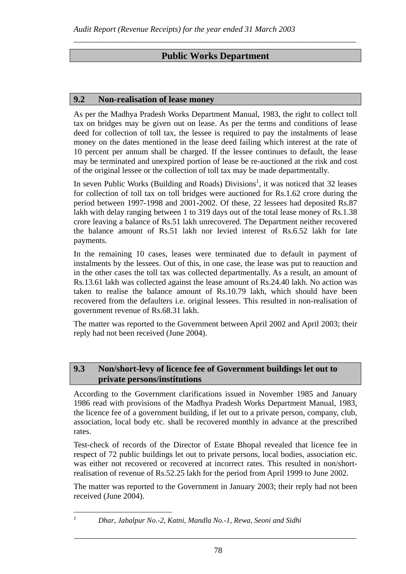## **Public Works Department**

*\_\_\_\_\_\_\_\_\_\_\_\_\_\_\_\_\_\_\_\_\_\_\_\_\_\_\_\_\_\_\_\_\_\_\_\_\_\_\_\_\_\_\_\_\_\_\_\_\_\_\_\_\_\_\_\_\_\_\_\_\_\_\_\_\_\_\_\_\_* 

#### **9.2 Non-realisation of lease money**

As per the Madhya Pradesh Works Department Manual, 1983, the right to collect toll tax on bridges may be given out on lease. As per the terms and conditions of lease deed for collection of toll tax, the lessee is required to pay the instalments of lease money on the dates mentioned in the lease deed failing which interest at the rate of 10 percent per annum shall be charged. If the lessee continues to default, the lease may be terminated and unexpired portion of lease be re-auctioned at the risk and cost of the original lessee or the collection of toll tax may be made departmentally.

In seven Public Works (Building and Roads) Divisions<sup>1</sup>, it was noticed that 32 leases for collection of toll tax on toll bridges were auctioned for Rs.1.62 crore during the period between 1997-1998 and 2001-2002. Of these, 22 lessees had deposited Rs.87 lakh with delay ranging between 1 to 319 days out of the total lease money of Rs.1.38 crore leaving a balance of Rs.51 lakh unrecovered. The Department neither recovered the balance amount of Rs.51 lakh nor levied interest of Rs.6.52 lakh for late payments.

In the remaining 10 cases, leases were terminated due to default in payment of instalments by the lessees. Out of this, in one case, the lease was put to reauction and in the other cases the toll tax was collected departmentally. As a result, an amount of Rs.13.61 lakh was collected against the lease amount of Rs.24.40 lakh. No action was taken to realise the balance amount of Rs.10.79 lakh, which should have been recovered from the defaulters i.e. original lessees. This resulted in non-realisation of government revenue of Rs.68.31 lakh.

The matter was reported to the Government between April 2002 and April 2003; their reply had not been received (June 2004).

#### **9.3 Non/short-levy of licence fee of Government buildings let out to private persons/institutions**

According to the Government clarifications issued in November 1985 and January 1986 read with provisions of the Madhya Pradesh Works Department Manual, 1983, the licence fee of a government building, if let out to a private person, company, club, association, local body etc. shall be recovered monthly in advance at the prescribed rates.

Test-check of records of the Director of Estate Bhopal revealed that licence fee in respect of 72 public buildings let out to private persons, local bodies, association etc. was either not recovered or recovered at incorrect rates. This resulted in non/shortrealisation of revenue of Rs.52.25 lakh for the period from April 1999 to June 2002.

The matter was reported to the Government in January 2003; their reply had not been received (June 2004).

 $\overline{a}$ *1*

*Dhar, Jabalpur No.-2, Katni, Mandla No.-1, Rewa, Seoni and Sidhi*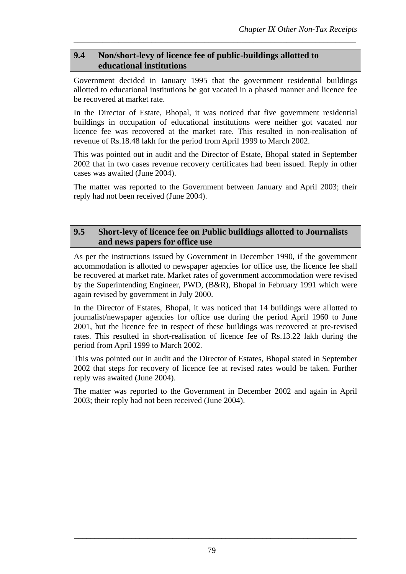## **9.4 Non/short-levy of licence fee of public-buildings allotted to educational institutions**

Government decided in January 1995 that the government residential buildings allotted to educational institutions be got vacated in a phased manner and licence fee be recovered at market rate.

*\_\_\_\_\_\_\_\_\_\_\_\_\_\_\_\_\_\_\_\_\_\_\_\_\_\_\_\_\_\_\_\_\_\_\_\_\_\_\_\_\_\_\_\_\_\_\_\_\_\_\_\_\_\_\_\_\_\_\_\_\_\_\_\_\_\_\_\_\_* 

In the Director of Estate, Bhopal, it was noticed that five government residential buildings in occupation of educational institutions were neither got vacated nor licence fee was recovered at the market rate. This resulted in non-realisation of revenue of Rs.18.48 lakh for the period from April 1999 to March 2002.

This was pointed out in audit and the Director of Estate, Bhopal stated in September 2002 that in two cases revenue recovery certificates had been issued. Reply in other cases was awaited (June 2004).

The matter was reported to the Government between January and April 2003; their reply had not been received (June 2004).

## **9.5 Short-levy of licence fee on Public buildings allotted to Journalists and news papers for office use**

As per the instructions issued by Government in December 1990, if the government accommodation is allotted to newspaper agencies for office use, the licence fee shall be recovered at market rate. Market rates of government accommodation were revised by the Superintending Engineer, PWD, (B&R), Bhopal in February 1991 which were again revised by government in July 2000.

In the Director of Estates, Bhopal, it was noticed that 14 buildings were allotted to journalist/newspaper agencies for office use during the period April 1960 to June 2001, but the licence fee in respect of these buildings was recovered at pre-revised rates. This resulted in short-realisation of licence fee of Rs.13.22 lakh during the period from April 1999 to March 2002.

This was pointed out in audit and the Director of Estates, Bhopal stated in September 2002 that steps for recovery of licence fee at revised rates would be taken. Further reply was awaited (June 2004).

The matter was reported to the Government in December 2002 and again in April 2003; their reply had not been received (June 2004).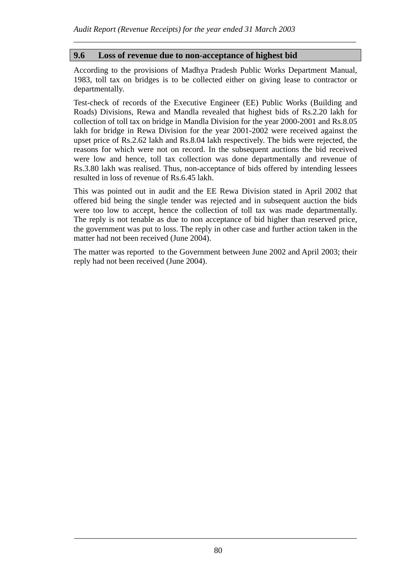### **9.6 Loss of revenue due to non-acceptance of highest bid**

According to the provisions of Madhya Pradesh Public Works Department Manual, 1983, toll tax on bridges is to be collected either on giving lease to contractor or departmentally.

*\_\_\_\_\_\_\_\_\_\_\_\_\_\_\_\_\_\_\_\_\_\_\_\_\_\_\_\_\_\_\_\_\_\_\_\_\_\_\_\_\_\_\_\_\_\_\_\_\_\_\_\_\_\_\_\_\_\_\_\_\_\_\_\_\_\_\_\_\_* 

Test-check of records of the Executive Engineer (EE) Public Works (Building and Roads) Divisions, Rewa and Mandla revealed that highest bids of Rs.2.20 lakh for collection of toll tax on bridge in Mandla Division for the year 2000-2001 and Rs.8.05 lakh for bridge in Rewa Division for the year 2001-2002 were received against the upset price of Rs.2.62 lakh and Rs.8.04 lakh respectively. The bids were rejected, the reasons for which were not on record. In the subsequent auctions the bid received were low and hence, toll tax collection was done departmentally and revenue of Rs.3.80 lakh was realised. Thus, non-acceptance of bids offered by intending lessees resulted in loss of revenue of Rs.6.45 lakh.

This was pointed out in audit and the EE Rewa Division stated in April 2002 that offered bid being the single tender was rejected and in subsequent auction the bids were too low to accept, hence the collection of toll tax was made departmentally. The reply is not tenable as due to non acceptance of bid higher than reserved price, the government was put to loss. The reply in other case and further action taken in the matter had not been received (June 2004).

The matter was reported to the Government between June 2002 and April 2003; their reply had not been received (June 2004).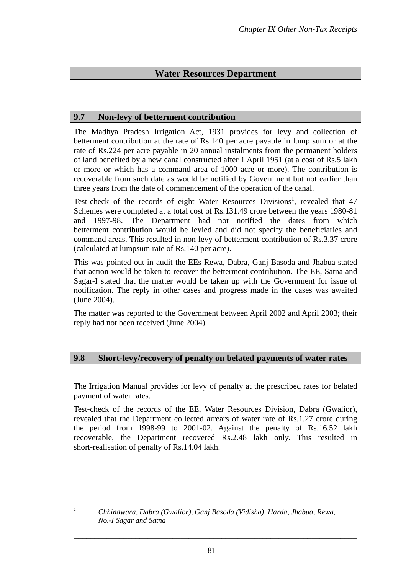## **Water Resources Department**

*\_\_\_\_\_\_\_\_\_\_\_\_\_\_\_\_\_\_\_\_\_\_\_\_\_\_\_\_\_\_\_\_\_\_\_\_\_\_\_\_\_\_\_\_\_\_\_\_\_\_\_\_\_\_\_\_\_\_\_\_\_\_\_\_\_\_\_\_\_* 

#### **9.7 Non-levy of betterment contribution**

The Madhya Pradesh Irrigation Act, 1931 provides for levy and collection of betterment contribution at the rate of Rs.140 per acre payable in lump sum or at the rate of Rs.224 per acre payable in 20 annual instalments from the permanent holders of land benefited by a new canal constructed after 1 April 1951 (at a cost of Rs.5 lakh or more or which has a command area of 1000 acre or more). The contribution is recoverable from such date as would be notified by Government but not earlier than three years from the date of commencement of the operation of the canal.

Test-check of the records of eight Water Resources Divisions<sup>1</sup>, revealed that 47 Schemes were completed at a total cost of Rs.131.49 crore between the years 1980-81 and 1997-98. The Department had not notified the dates from which betterment contribution would be levied and did not specify the beneficiaries and command areas. This resulted in non-levy of betterment contribution of Rs.3.37 crore (calculated at lumpsum rate of Rs.140 per acre).

This was pointed out in audit the EEs Rewa, Dabra, Ganj Basoda and Jhabua stated that action would be taken to recover the betterment contribution. The EE, Satna and Sagar-I stated that the matter would be taken up with the Government for issue of notification. The reply in other cases and progress made in the cases was awaited (June 2004).

The matter was reported to the Government between April 2002 and April 2003; their reply had not been received (June 2004).

### **9.8 Short-levy/recovery of penalty on belated payments of water rates**

The Irrigation Manual provides for levy of penalty at the prescribed rates for belated payment of water rates.

Test-check of the records of the EE, Water Resources Division, Dabra (Gwalior), revealed that the Department collected arrears of water rate of Rs.1.27 crore during the period from 1998-99 to 2001-02. Against the penalty of Rs.16.52 lakh recoverable, the Department recovered Rs.2.48 lakh only. This resulted in short-realisation of penalty of Rs.14.04 lakh.

 $\overline{a}$ *1*

*Chhindwara, Dabra (Gwalior), Ganj Basoda (Vidisha), Harda, Jhabua, Rewa, No.-I Sagar and Satna*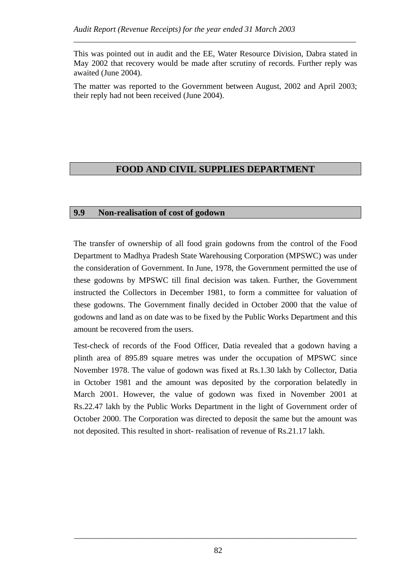This was pointed out in audit and the EE, Water Resource Division, Dabra stated in May 2002 that recovery would be made after scrutiny of records. Further reply was awaited (June 2004).

*\_\_\_\_\_\_\_\_\_\_\_\_\_\_\_\_\_\_\_\_\_\_\_\_\_\_\_\_\_\_\_\_\_\_\_\_\_\_\_\_\_\_\_\_\_\_\_\_\_\_\_\_\_\_\_\_\_\_\_\_\_\_\_\_\_\_\_\_\_* 

The matter was reported to the Government between August, 2002 and April 2003; their reply had not been received (June 2004).

# **FOOD AND CIVIL SUPPLIES DEPARTMENT**

### **9.9 Non-realisation of cost of godown**

The transfer of ownership of all food grain godowns from the control of the Food Department to Madhya Pradesh State Warehousing Corporation (MPSWC) was under the consideration of Government. In June, 1978, the Government permitted the use of these godowns by MPSWC till final decision was taken. Further, the Government instructed the Collectors in December 1981, to form a committee for valuation of these godowns. The Government finally decided in October 2000 that the value of godowns and land as on date was to be fixed by the Public Works Department and this amount be recovered from the users.

Test-check of records of the Food Officer, Datia revealed that a godown having a plinth area of 895.89 square metres was under the occupation of MPSWC since November 1978. The value of godown was fixed at Rs.1.30 lakh by Collector, Datia in October 1981 and the amount was deposited by the corporation belatedly in March 2001. However, the value of godown was fixed in November 2001 at Rs.22.47 lakh by the Public Works Department in the light of Government order of October 2000. The Corporation was directed to deposit the same but the amount was not deposited. This resulted in short- realisation of revenue of Rs.21.17 lakh.